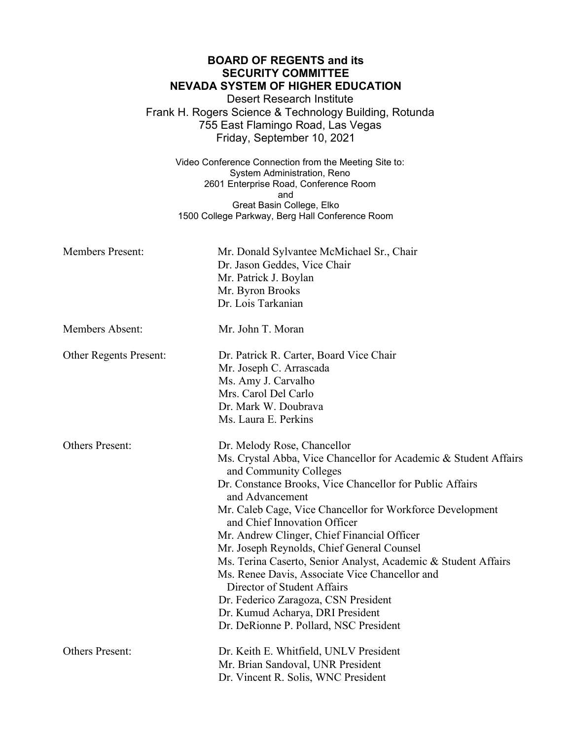|                               | <b>BOARD OF REGENTS and its</b>                                              |
|-------------------------------|------------------------------------------------------------------------------|
|                               | <b>SECURITY COMMITTEE</b><br><b>NEVADA SYSTEM OF HIGHER EDUCATION</b>        |
|                               | <b>Desert Research Institute</b>                                             |
|                               | Frank H. Rogers Science & Technology Building, Rotunda                       |
|                               | 755 East Flamingo Road, Las Vegas                                            |
|                               | Friday, September 10, 2021                                                   |
|                               |                                                                              |
|                               | Video Conference Connection from the Meeting Site to:                        |
|                               | System Administration, Reno                                                  |
|                               | 2601 Enterprise Road, Conference Room                                        |
|                               | and                                                                          |
|                               | Great Basin College, Elko<br>1500 College Parkway, Berg Hall Conference Room |
|                               |                                                                              |
| <b>Members Present:</b>       | Mr. Donald Sylvantee McMichael Sr., Chair                                    |
|                               | Dr. Jason Geddes, Vice Chair                                                 |
|                               | Mr. Patrick J. Boylan                                                        |
|                               | Mr. Byron Brooks                                                             |
|                               | Dr. Lois Tarkanian                                                           |
| <b>Members Absent:</b>        | Mr. John T. Moran                                                            |
| <b>Other Regents Present:</b> | Dr. Patrick R. Carter, Board Vice Chair<br>Mr. Joseph C. Arrascada           |

Ms. Amy J. Carvalho Mrs. Carol Del Carlo Dr. Mark W. Doubrava Ms. Laura E. Perkins

Others Present: Dr. Melody Rose, Chancellor

Ms. Crystal Abba, Vice Chancellor for Academic & Student Affairs and Community Colleges Dr. Constance Brooks, Vice Chancellor for Public Affairs

and Advancement

Mr. Caleb Cage, Vice Chancellor for Workforce Development and Chief Innovation Officer

Mr. Andrew Clinger, Chief Financial Officer

Mr. Joseph Reynolds, Chief General Counsel

Ms. Terina Caserto, Senior Analyst, Academic & Student Affairs

Ms. Renee Davis, Associate Vice Chancellor and Director of Student Affairs

Dr. Federico Zaragoza, CSN President

Dr. Kumud Acharya, DRI President

Dr. DeRionne P. Pollard, NSC President

Others Present: Dr. Keith E. Whitfield, UNLV President

Mr. Brian Sandoval, UNR President

Dr. Vincent R. Solis, WNC President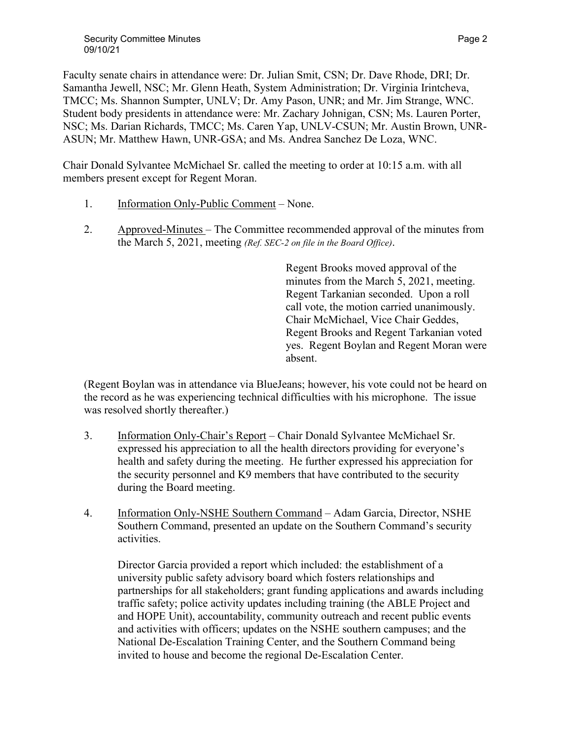Faculty senate chairs in attendance were: Dr. Julian Smit, CSN; Dr. Dave Rhode, DRI; Dr. Samantha Jewell, NSC; Mr. Glenn Heath, System Administration; Dr. Virginia Irintcheva, TMCC; Ms. Shannon Sumpter, UNLV; Dr. Amy Pason, UNR; and Mr. Jim Strange, WNC. Student body presidents in attendance were: Mr. Zachary Johnigan, CSN; Ms. Lauren Porter, NSC; Ms. Darian Richards, TMCC; Ms. Caren Yap, UNLV-CSUN; Mr. Austin Brown, UNR-ASUN; Mr. Matthew Hawn, UNR-GSA; and Ms. Andrea Sanchez De Loza, WNC.

Chair Donald Sylvantee McMichael Sr. called the meeting to order at 10:15 a.m. with all members present except for Regent Moran.

- 1. Information Only-Public Comment None.
- 2. Approved-Minutes The Committee recommended approval of the minutes from the March 5, 2021, meeting *(Ref. SEC-2 on file in the Board Office)*.

Regent Brooks moved approval of the minutes from the March 5, 2021, meeting. Regent Tarkanian seconded. Upon a roll call vote, the motion carried unanimously. Chair McMichael, Vice Chair Geddes, Regent Brooks and Regent Tarkanian voted yes. Regent Boylan and Regent Moran were absent.

(Regent Boylan was in attendance via BlueJeans; however, his vote could not be heard on the record as he was experiencing technical difficulties with his microphone. The issue was resolved shortly thereafter.)

- 3. Information Only-Chair's Report Chair Donald Sylvantee McMichael Sr. expressed his appreciation to all the health directors providing for everyone's health and safety during the meeting. He further expressed his appreciation for the security personnel and K9 members that have contributed to the security during the Board meeting.
- 4. Information Only-NSHE Southern Command Adam Garcia, Director, NSHE Southern Command, presented an update on the Southern Command's security activities.

Director Garcia provided a report which included: the establishment of a university public safety advisory board which fosters relationships and partnerships for all stakeholders; grant funding applications and awards including traffic safety; police activity updates including training (the ABLE Project and and HOPE Unit), accountability, community outreach and recent public events and activities with officers; updates on the NSHE southern campuses; and the National De-Escalation Training Center, and the Southern Command being invited to house and become the regional De-Escalation Center.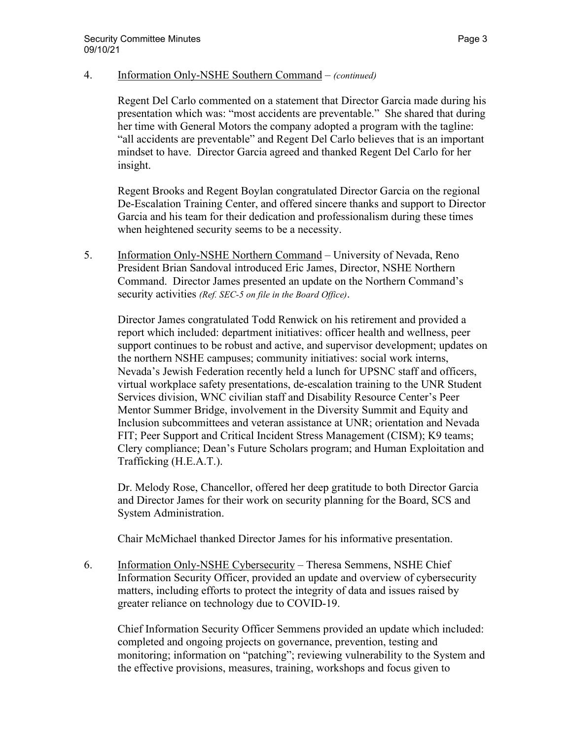## 4. Information Only-NSHE Southern Command – *(continued)*

Regent Del Carlo commented on a statement that Director Garcia made during his presentation which was: "most accidents are preventable." She shared that during her time with General Motors the company adopted a program with the tagline: "all accidents are preventable" and Regent Del Carlo believes that is an important mindset to have. Director Garcia agreed and thanked Regent Del Carlo for her insight.

Regent Brooks and Regent Boylan congratulated Director Garcia on the regional De-Escalation Training Center, and offered sincere thanks and support to Director Garcia and his team for their dedication and professionalism during these times when heightened security seems to be a necessity.

5. Information Only-NSHE Northern Command – University of Nevada, Reno President Brian Sandoval introduced Eric James, Director, NSHE Northern Command. Director James presented an update on the Northern Command's security activities *(Ref. SEC-5 on file in the Board Office)*.

Director James congratulated Todd Renwick on his retirement and provided a report which included: department initiatives: officer health and wellness, peer support continues to be robust and active, and supervisor development; updates on the northern NSHE campuses; community initiatives: social work interns, Nevada's Jewish Federation recently held a lunch for UPSNC staff and officers, virtual workplace safety presentations, de-escalation training to the UNR Student Services division, WNC civilian staff and Disability Resource Center's Peer Mentor Summer Bridge, involvement in the Diversity Summit and Equity and Inclusion subcommittees and veteran assistance at UNR; orientation and Nevada FIT; Peer Support and Critical Incident Stress Management (CISM); K9 teams; Clery compliance; Dean's Future Scholars program; and Human Exploitation and Trafficking (H.E.A.T.).

Dr. Melody Rose, Chancellor, offered her deep gratitude to both Director Garcia and Director James for their work on security planning for the Board, SCS and System Administration.

Chair McMichael thanked Director James for his informative presentation.

6. Information Only-NSHE Cybersecurity – Theresa Semmens, NSHE Chief Information Security Officer, provided an update and overview of cybersecurity matters, including efforts to protect the integrity of data and issues raised by greater reliance on technology due to COVID-19.

Chief Information Security Officer Semmens provided an update which included: completed and ongoing projects on governance, prevention, testing and monitoring; information on "patching"; reviewing vulnerability to the System and the effective provisions, measures, training, workshops and focus given to